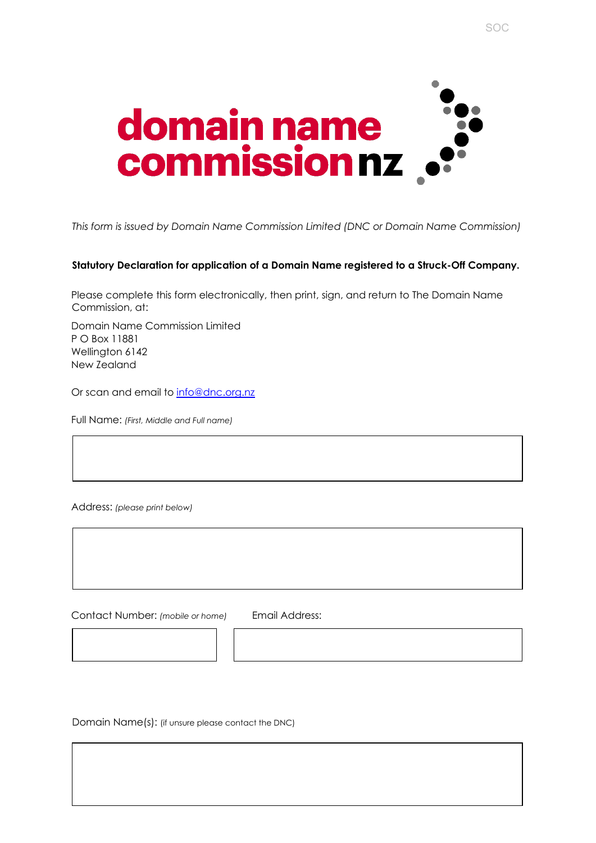

*This form is issued by Domain Name Commission Limited (DNC or Domain Name Commission)* 

## **Statutory Declaration for application of a Domain Name registered to a Struck-Off Company.**

Please complete this form electronically, then print, sign, and return to The Domain Name Commission, at:

Domain Name Commission Limited P O Box 11881 Wellington 6142 New Zealand

Or scan and email to info@dnc.org.nz

Full Name: *(First, Middle and Full name)* 

Address: *(please print below)*

Contact Number: *(mobile or home)* Email Address:

Domain Name(s): (if unsure please contact the DNC)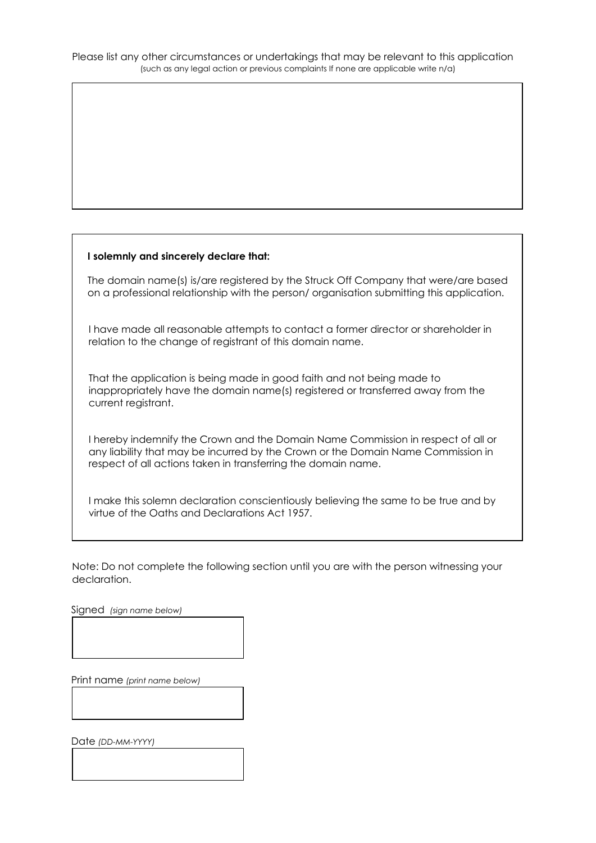Please list any other circumstances or undertakings that may be relevant to this application (such as any legal action or previous complaints If none are applicable write n/a)

## **I solemnly and sincerely declare that:**

The domain name(s) is/are registered by the Struck Off Company that were/are based on a professional relationship with the person/ organisation submitting this application.

I have made all reasonable attempts to contact a former director or shareholder in relation to the change of registrant of this domain name.

That the application is being made in good faith and not being made to inappropriately have the domain name(s) registered or transferred away from the current registrant.

I hereby indemnify the Crown and the Domain Name Commission in respect of all or any liability that may be incurred by the Crown or the Domain Name Commission in respect of all actions taken in transferring the domain name.

I make this solemn declaration conscientiously believing the same to be true and by virtue of the Oaths and Declarations Act 1957.

Note: Do not complete the following section until you are with the person witnessing your declaration.

Signed *(sign name below)* 

Print name *(print name below)*

Date *(DD-MM-YYYY)*